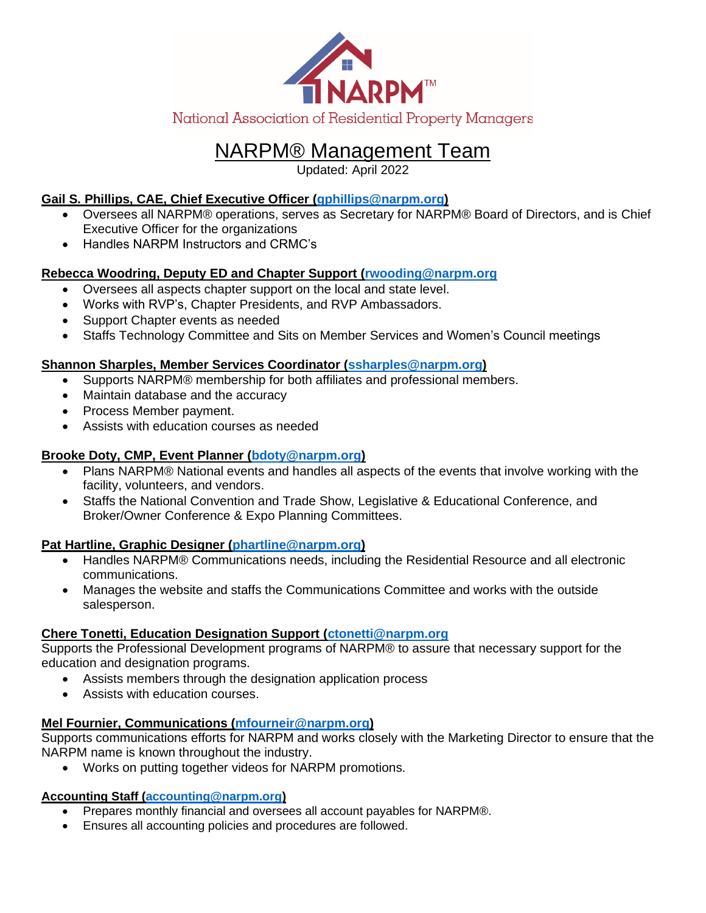

# NARPM® Management Team

Updated: April 2022

# **Gail S. Phillips, CAE, Chief Executive Officer [\(gphillips@narpm.org\)](mailto:gphillips@narpm.org)**

- Oversees all NARPM® operations, serves as Secretary for NARPM® Board of Directors, and is Chief Executive Officer for the organizations
- Handles NARPM Instructors and CRMC's

## **Rebecca Woodring, Deputy ED and Chapter Support [\(rwooding@narpm.org](mailto:rwooding@narpm.org)**

- Oversees all aspects chapter support on the local and state level.
- Works with RVP's, Chapter Presidents, and RVP Ambassadors.
- Support Chapter events as needed
- Staffs Technology Committee and Sits on Member Services and Women's Council meetings

### **Shannon Sharples, Member Services Coordinator [\(ssharples@narpm.org\)](mailto:ssharples@narpm.org)**

- Supports NARPM® membership for both affiliates and professional members.
- Maintain database and the accuracy
- Process Member payment.
- Assists with education courses as needed

### **Brooke Doty, CMP, Event Planner [\(bdoty@narpm.org\)](mailto:bdoty@narpm.org)**

- Plans NARPM® National events and handles all aspects of the events that involve working with the facility, volunteers, and vendors.
- Staffs the National Convention and Trade Show, Legislative & Educational Conference, and Broker/Owner Conference & Expo Planning Committees.

### **Pat Hartline, Graphic Designer [\(phartline@narpm.org\)](mailto:phartline@narpm.org)**

- Handles NARPM® Communications needs, including the Residential Resource and all electronic communications.
- Manages the website and staffs the Communications Committee and works with the outside salesperson.

### **Chere Tonetti, Education Designation Support [\(ctonetti@narpm.org](mailto:ctonetti@narpm.org)**

Supports the Professional Development programs of NARPM® to assure that necessary support for the education and designation programs.

- Assists members through the designation application process
- Assists with education courses.

# **Mel Fournier, Communications [\(mfourneir@narpm.org\)](mailto:mfourneir@narpm.org)**

Supports communications efforts for NARPM and works closely with the Marketing Director to ensure that the NARPM name is known throughout the industry.

• Works on putting together videos for NARPM promotions.

### **Accounting Staff [\(accounting@narpm.org\)](mailto:accounting@narpm.org)**

- Prepares monthly financial and oversees all account payables for NARPM®.
- Ensures all accounting policies and procedures are followed.